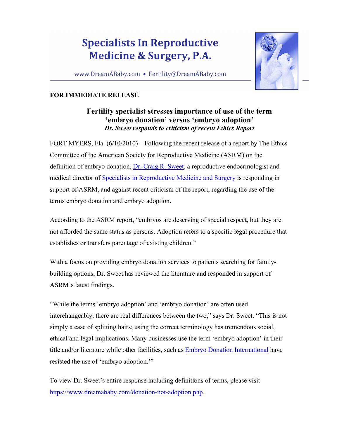## **Specialists In Reproductive Medicine & Surgery, P.A.**

www.DreamABaby.com • Fertility@DreamABaby.com



## **FOR IMMEDIATE RELEASE**

## **Fertility specialist stresses importance of use of the term 'embryo donation' versus 'embryo adoption'**  *Dr. Sweet responds to criticism of recent Ethics Report*

FORT MYERS, Fla. (6/10/2010) – Following the recent release of a report by The Ethics Committee of the American Society for Reproductive Medicine (ASRM) on the definition of embryo donation, Dr. Craig R. Sweet, a reproductive endocrinologist and medical director of Specialists in Reproductive Medicine and Surgery is responding in support of ASRM, and against recent criticism of the report, regarding the use of the terms embryo donation and embryo adoption.

According to the ASRM report, "embryos are deserving of special respect, but they are not afforded the same status as persons. Adoption refers to a specific legal procedure that establishes or transfers parentage of existing children."

With a focus on providing embryo donation services to patients searching for familybuilding options, Dr. Sweet has reviewed the literature and responded in support of ASRM's latest findings.

"While the terms 'embryo adoption' and 'embryo donation' are often used interchangeably, there are real differences between the two," says Dr. Sweet. "This is not simply a case of splitting hairs; using the correct terminology has tremendous social, ethical and legal implications. Many businesses use the term 'embryo adoption' in their title and/or literature while other facilities, such as Embryo Donation International have resisted the use of 'embryo adoption.'"

To view Dr. Sweet's entire response including definitions of terms, please visit https://www.dreamababy.com/donation-not-adoption.php.